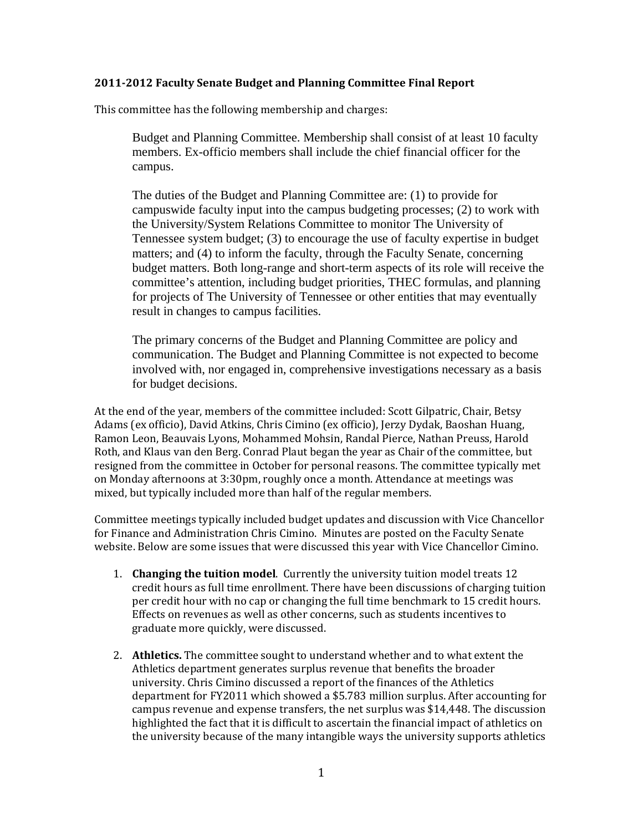## **2011‐2012 Faculty Senate Budget and Planning Committee Final Report**

This committee has the following membership and charges:

Budget and Planning Committee. Membership shall consist of at least 10 faculty members. Ex-officio members shall include the chief financial officer for the campus.

The duties of the Budget and Planning Committee are: (1) to provide for campuswide faculty input into the campus budgeting processes; (2) to work with the University/System Relations Committee to monitor The University of Tennessee system budget; (3) to encourage the use of faculty expertise in budget matters; and (4) to inform the faculty, through the Faculty Senate, concerning budget matters. Both long-range and short-term aspects of its role will receive the committee's attention, including budget priorities, THEC formulas, and planning for projects of The University of Tennessee or other entities that may eventually result in changes to campus facilities.

The primary concerns of the Budget and Planning Committee are policy and communication. The Budget and Planning Committee is not expected to become involved with, nor engaged in, comprehensive investigations necessary as a basis for budget decisions.

At the end of the year, members of the committee included: Scott Gilpatric, Chair, Betsy Adams (ex officio), David Atkins, Chris Cimino (ex officio), Jerzy Dydak, Baoshan Huang, Ramon Leon, Beauvais Lyons, Mohammed Mohsin, Randal Pierce, Nathan Preuss, Harold Roth, and Klaus van den Berg. Conrad Plaut began the year as Chair of the committee, but resigned from the committee in October for personal reasons. The committee typically met on Monday afternoons at 3:30pm, roughly once a month. Attendance at meetings was mixed, but typically included more than half of the regular members.

Committee meetings typically included budget updates and discussion with Vice Chancellor for Finance and Administration Chris Cimino. Minutes are posted on the Faculty Senate website. Below are some issues that were discussed this year with Vice Chancellor Cimino.

- 1. **Changing the tuition model**. Currently the university tuition model treats 12 credit hours as full time enrollment. There have been discussions of charging tuition per credit hour with no cap or changing the full time benchmark to 15 credit hours. Effects on revenues as well as other concerns, such as students incentives to graduate more quickly, were discussed.
- 2. **Athletics.** The committee sought to understand whether and to what extent the Athletics department generates surplus revenue that benefits the broader university. Chris Cimino discussed a report of the finances of the Athletics department for FY2011 which showed a \$5.783 million surplus. After accounting for campus revenue and expense transfers, the net surplus was \$14,448. The discussion highlighted the fact that it is difficult to ascertain the financial impact of athletics on the university because of the many intangible ways the university supports athletics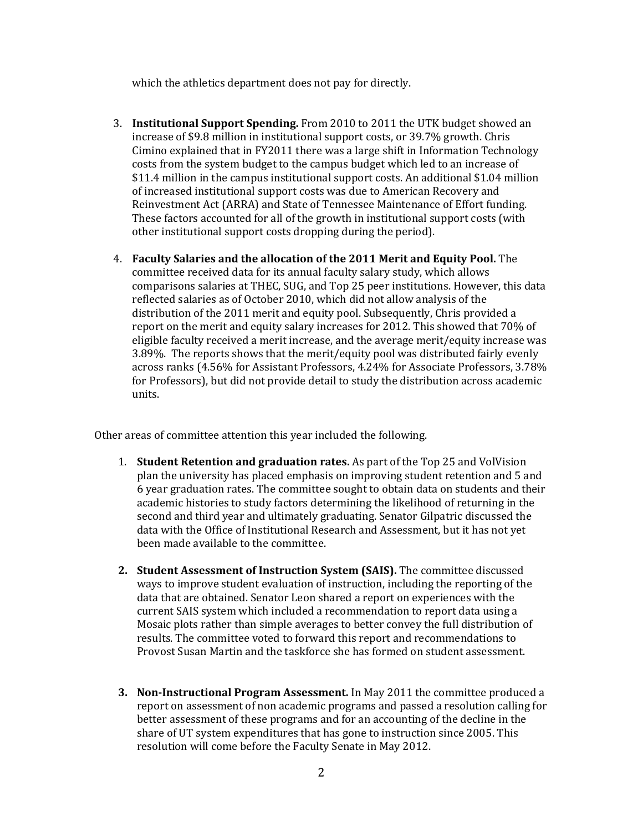which the athletics department does not pay for directly.

- 3. **Institutional Support Spending.** From 2010 to 2011 the UTK budget showed an increase of \$9.8 million in institutional support costs, or 39.7% growth. Chris Cimino explained that in FY2011 there was a large shift in Information Technology costs from the system budget to the campus budget which led to an increase of \$11.4 million in the campus institutional support costs. An additional \$1.04 million of increased institutional support costs was due to American Recovery and Reinvestment Act (ARRA) and State of Tennessee Maintenance of Effort funding. These factors accounted for all of the growth in institutional support costs (with other institutional support costs dropping during the period).
- 4. **Faculty Salaries and the allocation of the 2011 Merit and Equity Pool.** The committee received data for its annual faculty salary study, which allows comparisons salaries at THEC, SUG, and Top 25 peer institutions. However, this data reflected salaries as of October 2010, which did not allow analysis of the distribution of the 2011 merit and equity pool. Subsequently, Chris provided a report on the merit and equity salary increases for 2012. This showed that 70% of eligible faculty received a merit increase, and the average merit/equity increase was 3.89%. The reports shows that the merit/equity pool was distributed fairly evenly across ranks (4.56% for Assistant Professors, 4.24% for Associate Professors, 3.78% for Professors), but did not provide detail to study the distribution across academic units.

Other areas of committee attention this year included the following.

- 1. **Student Retention and graduation rates.** As part of the Top 25 and VolVision plan the university has placed emphasis on improving student retention and 5 and 6 year graduation rates. The committee sought to obtain data on students and their academic histories to study factors determining the likelihood of returning in the second and third year and ultimately graduating. Senator Gilpatric discussed the data with the Office of Institutional Research and Assessment, but it has not yet been made available to the committee.
- **2. Student Assessment of Instruction System (SAIS).** The committee discussed ways to improve student evaluation of instruction, including the reporting of the data that are obtained. Senator Leon shared a report on experiences with the current SAIS system which included a recommendation to report data using a Mosaic plots rather than simple averages to better convey the full distribution of results. The committee voted to forward this report and recommendations to Provost Susan Martin and the taskforce she has formed on student assessment.
- **3. Non‐Instructional Program Assessment.** In May 2011 the committee produced a report on assessment of non academic programs and passed a resolution calling for better assessment of these programs and for an accounting of the decline in the share of UT system expenditures that has gone to instruction since 2005. This resolution will come before the Faculty Senate in May 2012.